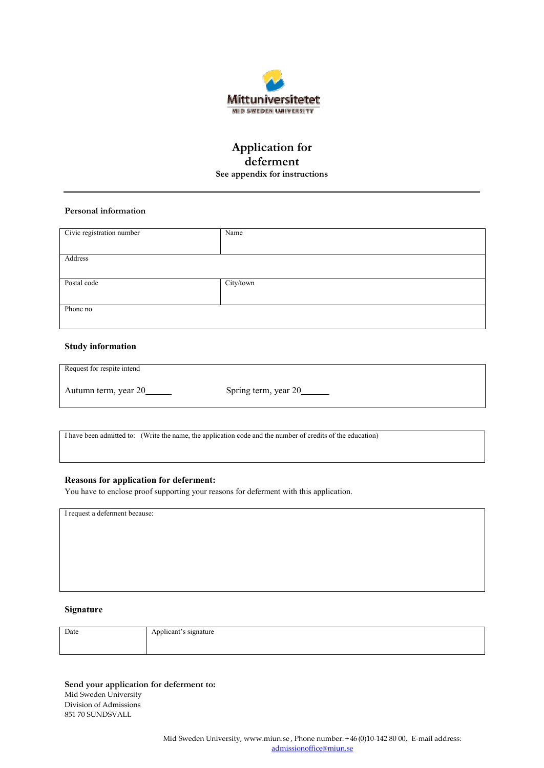

# **Application for deferment See appendix for instructions**

## **Personal information**

| Civic registration number | Name      |
|---------------------------|-----------|
|                           |           |
| Address                   |           |
|                           |           |
| Postal code               | City/town |
|                           |           |
| Phone no                  |           |
|                           |           |

### **Study information**

| Request for respite intend |                      |
|----------------------------|----------------------|
| Autumn term, year 20       | Spring term, year 20 |

I have been admitted to: (Write the name, the application code and the number of credits of the education)

#### **Reasons for application for deferment:**

You have to enclose proof supporting your reasons for deferment with this application.

I request a deferment because:

#### **Signature**

| Date | Applicant's signature |
|------|-----------------------|
|      |                       |

**Send your application for deferment to:** Mid Sweden University Division of Admissions 851 70 SUNDSVALL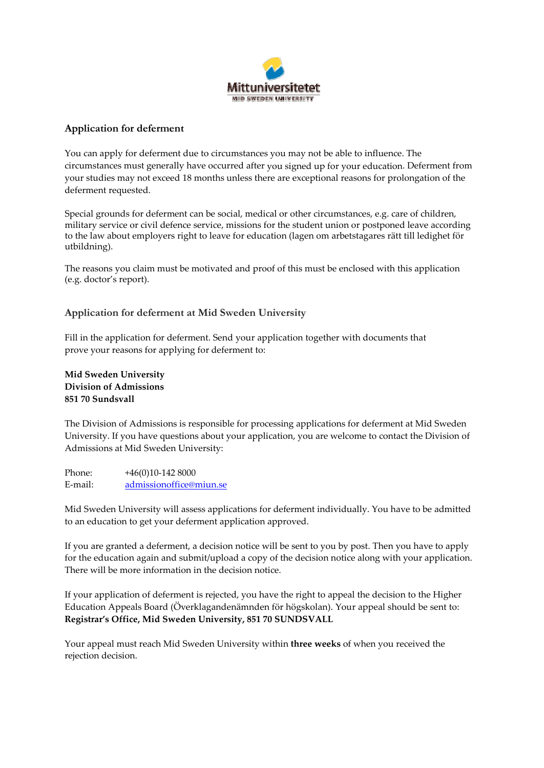

# **Application for deferment**

You can apply for deferment due to circumstances you may not be able to influence. The circumstances must generally have occurred after you signed up for your education. Deferment from your studies may not exceed 18 months unless there are exceptional reasons for prolongation of the deferment requested.

Special grounds for deferment can be social, medical or other circumstances, e.g. care of children, military service or civil defence service, missions for the student union or postponed leave according to the law about employers right to leave for education (lagen om arbetstagares rätt till ledighet för utbildning).

The reasons you claim must be motivated and proof of this must be enclosed with this application (e.g. doctor's report).

## **Application for deferment at Mid Sweden University**

Fill in the application for deferment. Send your application together with documents that prove your reasons for applying for deferment to:

**Mid Sweden University Division of Admissions 851 70 Sundsvall**

The Division of Admissions is responsible for processing applications for deferment at Mid Sweden University. If you have questions about your application, you are welcome to contact the Division of Admissions at Mid Sweden University:

Phone: +46(0)10-142 8000 E-mail: [admissionoffice@miun.se](mailto:admissionoffice@miun.se) 

Mid Sweden University will assess applications for deferment individually. You have to be admitted to an education to get your deferment application approved.

If you are granted a deferment, a decision notice will be sent to you by post. Then you have to apply for the education again and submit/upload a copy of the decision notice along with your application. There will be more information in the decision notice.

If your application of deferment is rejected, you have the right to appeal the decision to the Higher Education Appeals Board (Överklagandenämnden för högskolan). Your appeal should be sent to: **Registrar's Office, Mid Sweden University, 851 70 SUNDSVALL**

Your appeal must reach Mid Sweden University within **three weeks** of when you received the rejection decision.